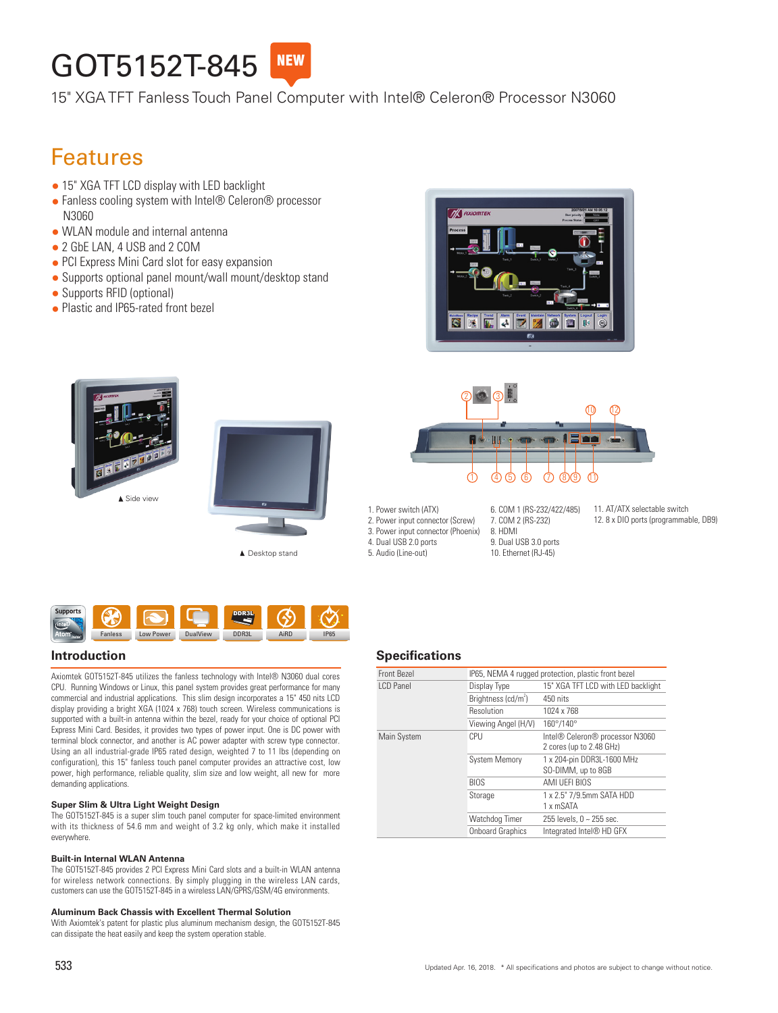# GOT5152T-845 NEW

15" XGA TFT Fanless Touch Panel Computer with Intel® Celeron® Processor N3060

# Features

- 15" XGA TFT LCD display with LED backlight
- Fanless cooling system with Intel® Celeron® processor N3060
- WLAN module and internal antenna
- 2 GbE LAN, 4 USB and 2 COM
- PCI Express Mini Card slot for easy expansion
- Supports optional panel mount/wall mount/desktop stand
- Supports RFID (optional)
- Plastic and IP65-rated front bezel







▲ Desktop stand



1. Power switch (ATX) 2. Power input connector (Screw)

- 3. Power input connector (Phoenix)
- 4. Dual USB 2.0 ports
- 5. Audio (Line-out)
- 6. COM 1 (RS-232/422/485) 7. COM 2 (RS-232) 8. HDMI 9. Dual USB 3.0 ports 10. Ethernet (RJ-45)

11. AT/ATX selectable switch 12. 8 x DIO ports (programmable, DB9)

#### Supports DDR3L **DualView DDR3L AiRD**

Axiomtek GOT5152T-845 utilizes the fanless technology with Intel® N3060 dual cores CPU. Running Windows or Linux, this panel system provides great performance for many commercial and industrial applications. This slim design incorporates a 15" 450 nits LCD display providing a bright XGA (1024 x 768) touch screen. Wireless communications is supported with a built-in antenna within the bezel, ready for your choice of optional PCI Express Mini Card. Besides, it provides two types of power input. One is DC power with terminal block connector, and another is AC power adapter with screw type connector. Using an all industrial-grade IP65 rated design, weighted 7 to 11 lbs (depending on configuration), this 15" fanless touch panel computer provides an attractive cost, low power, high performance, reliable quality, slim size and low weight, all new for more demanding applications.

### **Super Slim & Ultra Light Weight Design**

The GOT5152T-845 is a super slim touch panel computer for space-limited environment with its thickness of 54.6 mm and weight of 3.2 kg only, which make it installed everywhere.

#### **Built-in Internal WLAN Antenna**

The GOT5152T-845 provides 2 PCI Express Mini Card slots and a built-in WLAN antenna for wireless network connections. By simply plugging in the wireless LAN cards, customers can use the GOT5152T-845 in a wireless LAN/GPRS/GSM/4G environments.

#### **Aluminum Back Chassis with Excellent Thermal Solution**

With Axiomtek's patent for plastic plus aluminum mechanism design, the GOT5152T-845 can dissipate the heat easily and keep the system operation stable.

### **Introduction Specifications**

| Front Bezel      |                                 | IP65, NEMA 4 rugged protection, plastic front bezel |
|------------------|---------------------------------|-----------------------------------------------------|
| <b>LCD Panel</b> | Display Type                    | 15" XGA TFT LCD with LED backlight                  |
|                  | Brightness (cd/m <sup>2</sup> ) | 450 nits                                            |
|                  | Resolution                      | 1024 x 768                                          |
|                  | Viewing Angel (H/V)             | 160°/140°                                           |
| Main System      | CPU                             | Intel® Celeron® processor N3060                     |
|                  |                                 | 2 cores (up to 2.48 GHz)                            |
|                  | <b>System Memory</b>            | 1 x 204-pin DDR3L-1600 MHz                          |
|                  |                                 | SO-DIMM, up to 8GB                                  |
|                  | <b>BIOS</b>                     | AMI UEFI BIOS                                       |
|                  | Storage                         | 1 x 2.5" 7/9.5mm SATA HDD                           |
|                  |                                 | 1 x mSATA                                           |
|                  | Watchdog Timer                  | 255 levels, 0 ~ 255 sec.                            |
|                  | <b>Onboard Graphics</b>         | Integrated Intel® HD GFX                            |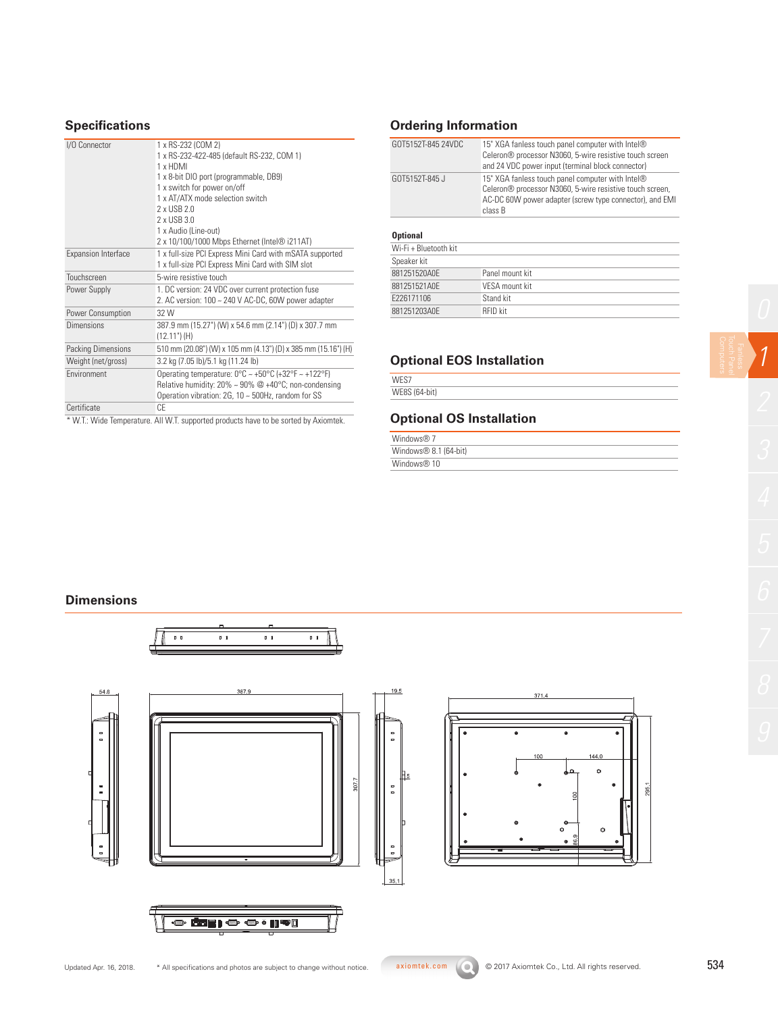| I/O Connector              | 1 x RS-232 (COM 2)<br>1 x RS-232-422-485 (default RS-232, COM 1)<br>1 x HDMI<br>1 x 8-bit DIO port (programmable, DB9)<br>1 x switch for power on/off<br>1 x AT/ATX mode selection switch<br>2 x USB 2.0<br>2 x USB 3.0<br>1 x Audio (Line-out)<br>2 x 10/100/1000 Mbps Ethernet (Intel® i211AT) |
|----------------------------|--------------------------------------------------------------------------------------------------------------------------------------------------------------------------------------------------------------------------------------------------------------------------------------------------|
| <b>Expansion Interface</b> | 1 x full-size PCI Express Mini Card with mSATA supported<br>1 x full-size PCI Express Mini Card with SIM slot                                                                                                                                                                                    |
| Touchscreen                | 5-wire resistive touch                                                                                                                                                                                                                                                                           |
| Power Supply               | 1. DC version: 24 VDC over current protection fuse<br>2. AC version: 100 ~ 240 V AC-DC, 60W power adapter                                                                                                                                                                                        |
| Power Consumption          | 32 W                                                                                                                                                                                                                                                                                             |
| Dimensions                 | 387.9 mm (15.27") (W) x 54.6 mm (2.14") (D) x 307.7 mm<br>$(12.11")$ (H)                                                                                                                                                                                                                         |
| Packing Dimensions         | 510 mm (20.08") (W) x 105 mm (4.13") (D) x 385 mm (15.16") (H)                                                                                                                                                                                                                                   |
| Weight (net/gross)         | 3.2 kg (7.05 lb)/5.1 kg (11.24 lb)                                                                                                                                                                                                                                                               |
| Fnvironment                | Operating temperature: $0^{\circ}$ C ~ +50 $^{\circ}$ C (+32 $^{\circ}$ F ~ +122 $^{\circ}$ F)<br>Relative humidity: $20\% \sim 90\%$ @ +40°C; non-condensing<br>Operation vibration: 2G, 10 ~ 500Hz, random for SS                                                                              |
| Certificate                | CF                                                                                                                                                                                                                                                                                               |
|                            | * W.T.: Wide Temperature. All W.T. supported products have to be sorted by Axiomtek.                                                                                                                                                                                                             |

# **Specifications Ordering Information**

| GOT5152T-845 24VDC    | 15" XGA fanless touch panel computer with Intel®<br>Celeron® processor N3060, 5-wire resistive touch screen<br>and 24 VDC power input (terminal block connector)                   |
|-----------------------|------------------------------------------------------------------------------------------------------------------------------------------------------------------------------------|
| GOT5152T-845 J        | 15" XGA fanless touch panel computer with Intel®<br>Celeron® processor N3060, 5-wire resistive touch screen,<br>AC-DC 60W power adapter (screw type connector), and EMI<br>class B |
| <b>Optional</b>       |                                                                                                                                                                                    |
| Wi-Fi + Bluetooth kit |                                                                                                                                                                                    |
| Sneaker kit           |                                                                                                                                                                                    |

| Wi-Fi + Bluetooth kit |                 |
|-----------------------|-----------------|
| Speaker kit           |                 |
| 881251520A0F          | Panel mount kit |
| 881251521A0F          | VFSA mount kit  |
| F226171106            | Stand kit       |
| 881251203A0F          | <b>RFID kit</b> |

# **Optional EOS Installation**

WES7 WE8S (64-bit)

# **Optional OS Installation**

| Windows <sup>®</sup> 7  |
|-------------------------|
| Windows® 8.1 (64-bit)   |
| Windows <sup>®</sup> 10 |

## **Dimensions**